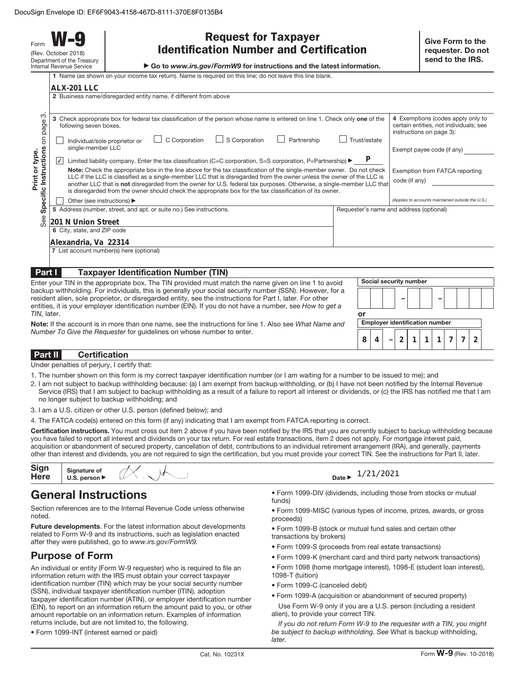Form **W-9** (Rev. October 2018) Department of the Treasury Internal Revenue Service

| <b>Request for Taxpayer</b>                    |  |  |
|------------------------------------------------|--|--|
| <b>Identification Number and Certification</b> |  |  |

▶ Go to www.irs.gov/FormW9 for instructions and the latest information.

|  | 1 Name (as shown on your income tax return). Name is required on this line: do not leave this line blank. |
|--|-----------------------------------------------------------------------------------------------------------|

|                                                                  | ALX-201 LLC                                                                                                                                                                                                                                                                                                                                                                                                                                                                                                                                                                                                                                                                                                                                                                                                                                                                                                                  |                                                                                                                                                                                                                                               |                                         |  |
|------------------------------------------------------------------|------------------------------------------------------------------------------------------------------------------------------------------------------------------------------------------------------------------------------------------------------------------------------------------------------------------------------------------------------------------------------------------------------------------------------------------------------------------------------------------------------------------------------------------------------------------------------------------------------------------------------------------------------------------------------------------------------------------------------------------------------------------------------------------------------------------------------------------------------------------------------------------------------------------------------|-----------------------------------------------------------------------------------------------------------------------------------------------------------------------------------------------------------------------------------------------|-----------------------------------------|--|
|                                                                  | 2 Business name/disregarded entity name, if different from above                                                                                                                                                                                                                                                                                                                                                                                                                                                                                                                                                                                                                                                                                                                                                                                                                                                             |                                                                                                                                                                                                                                               |                                         |  |
| က<br>page<br>δ<br>Instructions<br>Print or type.<br>Specific     | Check appropriate box for federal tax classification of the person whose name is entered on line 1. Check only one of the<br>3<br>following seven boxes.<br>C Corporation<br>S Corporation<br>Partnership<br>Individual/sole proprietor or<br>single-member LLC<br>Limited liability company. Enter the tax classification (C=C corporation, S=S corporation, P=Partnership) $\blacktriangleright$<br>∣✓<br>Note: Check the appropriate box in the line above for the tax classification of the single-member owner. Do not check<br>LLC if the LLC is classified as a single-member LLC that is disregarded from the owner unless the owner of the LLC is<br>another LLC that is not disregarded from the owner for U.S. federal tax purposes. Otherwise, a single-member LLC that<br>is disregarded from the owner should check the appropriate box for the tax classification of its owner.<br>Other (see instructions) ▶ | 4 Exemptions (codes apply only to<br>certain entities, not individuals; see<br>instructions on page 3):<br>Exempt payee code (if any)<br>Exemption from FATCA reporting<br>code (if any)<br>(Applies to accounts maintained outside the U.S.) |                                         |  |
|                                                                  | 5 Address (number, street, and apt. or suite no.) See instructions.                                                                                                                                                                                                                                                                                                                                                                                                                                                                                                                                                                                                                                                                                                                                                                                                                                                          |                                                                                                                                                                                                                                               | Requester's name and address (optional) |  |
| See<br>201 N Union Street                                        |                                                                                                                                                                                                                                                                                                                                                                                                                                                                                                                                                                                                                                                                                                                                                                                                                                                                                                                              |                                                                                                                                                                                                                                               |                                         |  |
|                                                                  | 6 City, state, and ZIP code                                                                                                                                                                                                                                                                                                                                                                                                                                                                                                                                                                                                                                                                                                                                                                                                                                                                                                  |                                                                                                                                                                                                                                               |                                         |  |
| Alexandria, Va 22314<br>7 List account number(s) here (optional) |                                                                                                                                                                                                                                                                                                                                                                                                                                                                                                                                                                                                                                                                                                                                                                                                                                                                                                                              |                                                                                                                                                                                                                                               |                                         |  |
|                                                                  |                                                                                                                                                                                                                                                                                                                                                                                                                                                                                                                                                                                                                                                                                                                                                                                                                                                                                                                              |                                                                                                                                                                                                                                               |                                         |  |
|                                                                  |                                                                                                                                                                                                                                                                                                                                                                                                                                                                                                                                                                                                                                                                                                                                                                                                                                                                                                                              |                                                                                                                                                                                                                                               |                                         |  |
| Part I                                                           | <b>Taxpayer Identification Number (TIN)</b>                                                                                                                                                                                                                                                                                                                                                                                                                                                                                                                                                                                                                                                                                                                                                                                                                                                                                  |                                                                                                                                                                                                                                               |                                         |  |
|                                                                  | Enter your TIN in the appropriate box. The TIN provided must match the name given on line 1 to avoid                                                                                                                                                                                                                                                                                                                                                                                                                                                                                                                                                                                                                                                                                                                                                                                                                         |                                                                                                                                                                                                                                               | Social security number                  |  |
|                                                                  | backup withholding. For individuals, this is generally your social security number (SSN). However, for a                                                                                                                                                                                                                                                                                                                                                                                                                                                                                                                                                                                                                                                                                                                                                                                                                     |                                                                                                                                                                                                                                               |                                         |  |

backup withholding. For individuals, this is generally your social security number (SSN). However, for a resident alien, sole proprietor, or disregarded entity, see the instructions for Part I, later. For other entities, it is your employer identification number (EIN). If you do not have a number, see How to get a TIN, later.

**Note:** If the account is in more than one name, see the instructions for line 1. Also see What Name and Number To Give the Requester for guidelines on whose number to enter.

## **Part II Certification**

Under penalties of perjury, I certify that:

- 1. The number shown on this form is my correct taxpayer identification number (or I am waiting for a number to be issued to me); and
- 2. I am not subject to backup withholding because: (a) I am exempt from backup withholding, or (b) I have not been notified by the Internal Revenue Service (IRS) that I am subject to backup withholding as a result of a failure to report all interest or dividends, or (c) the IRS has notified me that I am no longer subject to backup withholding; and
- 3. I am a U.S. citizen or other U.S. person (defined below); and
- 4. The FATCA code(s) entered on this form (if any) indicating that I am exempt from FATCA reporting is correct.

**Certification instructions.** You must cross out item 2 above if you have been notified by the IRS that you are currently subject to backup withholding because you have failed to report all interest and dividends on your tax return. For real estate transactions, item 2 does not apply. For mortgage interest paid, acquisition or abandonment of secured property, cancellation of debt, contributions to an individual retirement arrangement (IRA), and generally, payments other than interest and dividends, you are not required to sign the certification, but you must provide your correct TIN. See the instructions for Part II, later.

| Sign<br><b>Here</b> | Signature of<br>U.S. person $\blacktriangleright$ | שי |  |
|---------------------|---------------------------------------------------|----|--|
|                     |                                                   |    |  |

# **General Instructions**

Section references are to the Internal Revenue Code unless otherwise noted.

**Future developments**. For the latest information about developments related to Form W-9 and its instructions, such as legislation enacted after they were published, go to www.irs.gov/FormW9.

# **Purpose of Form**

An individual or entity (Form W-9 requester) who is required to file an information return with the IRS must obtain your correct taxpayer identification number (TIN) which may be your social security number (SSN), individual taxpayer identification number (ITIN), adoption taxpayer identification number (ATIN), or employer identification number (EIN), to report on an information return the amount paid to you, or other amount reportable on an information return. Examples of information returns include, but are not limited to, the following.

• Form 1099-INT (interest earned or paid)

- 1/21/2021
- Form 1099-DIV (dividends, including those from stocks or mutual funds)
- Form 1099-MISC (various types of income, prizes, awards, or gross proceeds)
- Form 1099-B (stock or mutual fund sales and certain other transactions by brokers)
- Form 1099-S (proceeds from real estate transactions)
- Form 1099-K (merchant card and third party network transactions)
- Form 1098 (home mortgage interest), 1098-E (student loan interest),
- 1098-T (tuition)
- Form 1099-C (canceled debt)
- Form 1099-A (acquisition or abandonment of secured property)
- Use Form W-9 only if you are a U.S. person (including a resident alien), to provide your correct TIN.

If you do not return Form W-9 to the requester with a TIN, you might be subject to backup withholding. See What is backup withholding, **later**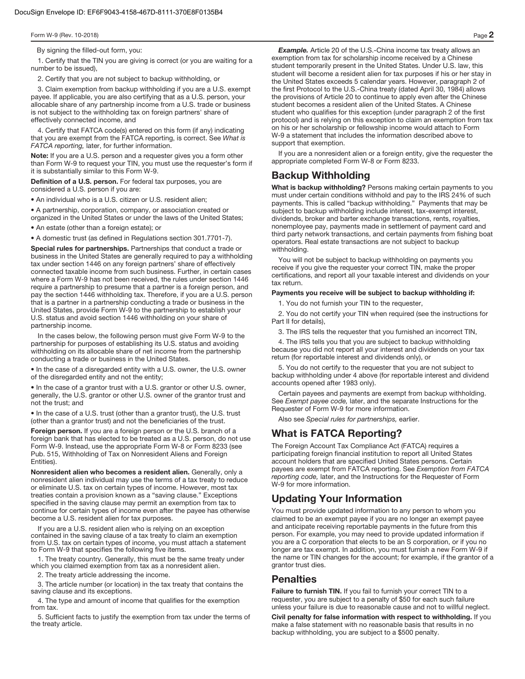By signing the filled-out form, you:

1. Certify that the TIN you are giving is correct (or you are waiting for a number to be issued),

2. Certify that you are not subject to backup withholding, or

3. Claim exemption from backup withholding if you are a U.S. exempt payee. If applicable, you are also certifying that as a U.S. person, your allocable share of any partnership income from a U.S. trade or business is not subject to the withholding tax on foreign partners' share of effectively connected income, and

4. Certify that FATCA code(s) entered on this form (if any) indicating that you are exempt from the FATCA reporting, is correct. See What is FATCA reporting, later, for further information.

**Note:** If you are a U.S. person and a requester gives you a form other than Form W-9 to request your TIN, you must use the requester's form if it is substantially similar to this Form W-9.

**Definition of a U.S. person.** For federal tax purposes, you are considered a U.S. person if you are:

• An individual who is a U.S. citizen or U.S. resident alien;

• A partnership, corporation, company, or association created or organized in the United States or under the laws of the United States;

• An estate (other than a foreign estate); or

• A domestic trust (as defined in Regulations section 301.7701-7).

**Special rules for partnerships.** Partnerships that conduct a trade or business in the United States are generally required to pay a withholding tax under section 1446 on any foreign partners' share of effectively connected taxable income from such business. Further, in certain cases where a Form W-9 has not been received, the rules under section 1446 require a partnership to presume that a partner is a foreign person, and pay the section 1446 withholding tax. Therefore, if you are a U.S. person that is a partner in a partnership conducting a trade or business in the United States, provide Form W-9 to the partnership to establish your U.S. status and avoid section 1446 withholding on your share of partnership income.

In the cases below, the following person must give Form W-9 to the partnership for purposes of establishing its U.S. status and avoiding withholding on its allocable share of net income from the partnership conducting a trade or business in the United States.

• In the case of a disregarded entity with a U.S. owner, the U.S. owner of the disregarded entity and not the entity;

• In the case of a grantor trust with a U.S. grantor or other U.S. owner, generally, the U.S. grantor or other U.S. owner of the grantor trust and not the trust; and

• In the case of a U.S. trust (other than a grantor trust), the U.S. trust (other than a grantor trust) and not the beneficiaries of the trust.

**Foreign person.** If you are a foreign person or the U.S. branch of a foreign bank that has elected to be treated as a U.S. person, do not use Form W-9. Instead, use the appropriate Form W-8 or Form 8233 (see Pub. 515, Withholding of Tax on Nonresident Aliens and Foreign Entities).

**Nonresident alien who becomes a resident alien.** Generally, only a nonresident alien individual may use the terms of a tax treaty to reduce or eliminate U.S. tax on certain types of income. However, most tax treaties contain a provision known as a "saving clause." Exceptions specified in the saving clause may permit an exemption from tax to continue for certain types of income even after the payee has otherwise become a U.S. resident alien for tax purposes.

If you are a U.S. resident alien who is relying on an exception contained in the saving clause of a tax treaty to claim an exemption from U.S. tax on certain types of income, you must attach a statement to Form W-9 that specifies the following five items.

1. The treaty country. Generally, this must be the same treaty under which you claimed exemption from tax as a nonresident alien.

2. The treaty article addressing the income.

3. The article number (or location) in the tax treaty that contains the saving clause and its exceptions.

4. The type and amount of income that qualifies for the exemption from tax.

5. Sufficient facts to justify the exemption from tax under the terms of the treaty article.

**Example.** Article 20 of the U.S.-China income tax treaty allows an exemption from tax for scholarship income received by a Chinese student temporarily present in the United States. Under U.S. law, this student will become a resident alien for tax purposes if his or her stay in the United States exceeds 5 calendar years. However, paragraph 2 of the first Protocol to the U.S.-China treaty (dated April 30, 1984) allows the provisions of Article 20 to continue to apply even after the Chinese student becomes a resident alien of the United States. A Chinese student who qualifies for this exception (under paragraph 2 of the first protocol) and is relying on this exception to claim an exemption from tax on his or her scholarship or fellowship income would attach to Form W-9 a statement that includes the information described above to support that exemption.

If you are a nonresident alien or a foreign entity, give the requester the appropriate completed Form W-8 or Form 8233.

## **Backup Withholding**

**What is backup withholding?** Persons making certain payments to you must under certain conditions withhold and pay to the IRS 24% of such payments. This is called "backup withholding." Payments that may be subject to backup withholding include interest, tax-exempt interest, dividends, broker and barter exchange transactions, rents, royalties, nonemployee pay, payments made in settlement of payment card and third party network transactions, and certain payments from fishing boat operators. Real estate transactions are not subject to backup withholding.

You will not be subject to backup withholding on payments you receive if you give the requester your correct TIN, make the proper certifications, and report all your taxable interest and dividends on your tax return.

#### **Payments you receive will be subject to backup withholding if:**

1. You do not furnish your TIN to the requester,

2. You do not certify your TIN when required (see the instructions for Part II for details),

3. The IRS tells the requester that you furnished an incorrect TIN,

4. The IRS tells you that you are subject to backup withholding because you did not report all your interest and dividends on your tax return (for reportable interest and dividends only), or

5. You do not certify to the requester that you are not subject to backup withholding under 4 above (for reportable interest and dividend accounts opened after 1983 only).

Certain payees and payments are exempt from backup withholding. See Exempt payee code, later, and the separate Instructions for the Requester of Form W-9 for more information.

Also see Special rules for partnerships, earlier.

# **What is FATCA Reporting?**

The Foreign Account Tax Compliance Act (FATCA) requires a participating foreign financial institution to report all United States account holders that are specified United States persons. Certain payees are exempt from FATCA reporting. See Exemption from FATCA reporting code, later, and the Instructions for the Requester of Form W-9 for more information.

# **Updating Your Information**

You must provide updated information to any person to whom you claimed to be an exempt payee if you are no longer an exempt payee and anticipate receiving reportable payments in the future from this person. For example, you may need to provide updated information if you are a C corporation that elects to be an S corporation, or if you no longer are tax exempt. In addition, you must furnish a new Form W-9 if the name or TIN changes for the account; for example, if the grantor of a grantor trust dies.

### **Penalties**

**Failure to furnish TIN.** If you fail to furnish your correct TIN to a requester, you are subject to a penalty of \$50 for each such failure unless your failure is due to reasonable cause and not to willful neglect.

**Civil penalty for false information with respect to withholding.** If you make a false statement with no reasonable basis that results in no backup withholding, you are subject to a \$500 penalty.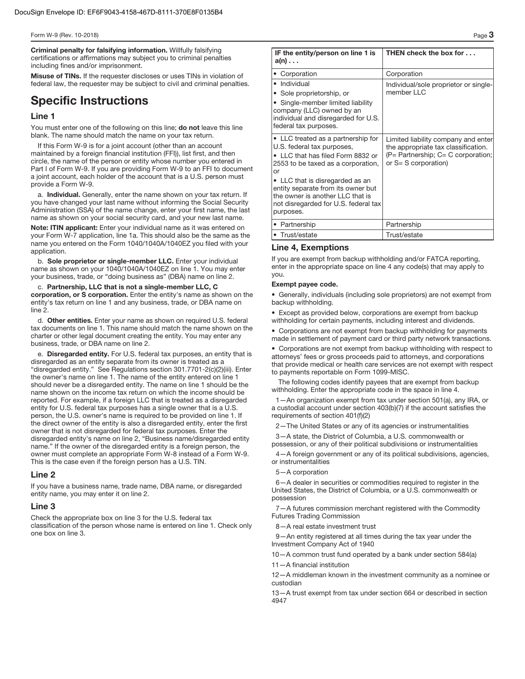**Criminal penalty for falsifying information.** Willfully falsifying certifications or affirmations may subject you to criminal penalties including fines and/or imprisonment.

**Misuse of TINs.** If the requester discloses or uses TINs in violation of federal law, the requester may be subject to civil and criminal penalties.

# **Specific Instructions**

#### **Line 1**

You must enter one of the following on this line; **do not** leave this line blank. The name should match the name on your tax return.

If this Form W-9 is for a joint account (other than an account maintained by a foreign financial institution (FFI)), list first, and then circle, the name of the person or entity whose number you entered in Part I of Form W-9. If you are providing Form W-9 to an FFI to document a joint account, each holder of the account that is a U.S. person must provide a Form W-9.

a. **Individual.** Generally, enter the name shown on your tax return. If you have changed your last name without informing the Social Security Administration (SSA) of the name change, enter your first name, the last name as shown on your social security card, and your new last name.

**Note: ITIN applicant:** Enter your individual name as it was entered on your Form W-7 application, line 1a. This should also be the same as the name you entered on the Form 1040/1040A/1040EZ you filed with your application.

b. **Sole proprietor or single-member LLC.** Enter your individual name as shown on your 1040/1040A/1040EZ on line 1. You may enter your business, trade, or "doing business as" (DBA) name on line 2.

c. **Partnership, LLC that is not a single-member LLC, C corporation, or S corporation.** Enter the entity's name as shown on the entity's tax return on line 1 and any business, trade, or DBA name on line 2.

d. **Other entities.** Enter your name as shown on required U.S. federal tax documents on line 1. This name should match the name shown on the charter or other legal document creating the entity. You may enter any business, trade, or DBA name on line 2.

e. **Disregarded entity.** For U.S. federal tax purposes, an entity that is disregarded as an entity separate from its owner is treated as a "disregarded entity." See Regulations section 301.7701-2(c)(2)(iii). Enter the owner's name on line 1. The name of the entity entered on line 1 should never be a disregarded entity. The name on line 1 should be the name shown on the income tax return on which the income should be reported. For example, if a foreign LLC that is treated as a disregarded entity for U.S. federal tax purposes has a single owner that is a U.S. person, the U.S. owner's name is required to be provided on line 1. If the direct owner of the entity is also a disregarded entity, enter the first owner that is not disregarded for federal tax purposes. Enter the disregarded entity's name on line 2, "Business name/disregarded entity name." If the owner of the disregarded entity is a foreign person, the owner must complete an appropriate Form W-8 instead of a Form W-9. This is the case even if the foreign person has a U.S. TIN.

#### **Line 2**

If you have a business name, trade name, DBA name, or disregarded entity name, you may enter it on line 2.

#### **Line 3**

Check the appropriate box on line 3 for the U.S. federal tax classification of the person whose name is entered on line 1. Check only one box on line 3.

| IF the entity/person on line 1 is<br>$a(n) \ldots$                                                                                                                                                                                                                                                                  | THEN check the box for                                                                                                                         |
|---------------------------------------------------------------------------------------------------------------------------------------------------------------------------------------------------------------------------------------------------------------------------------------------------------------------|------------------------------------------------------------------------------------------------------------------------------------------------|
| • Corporation                                                                                                                                                                                                                                                                                                       | Corporation                                                                                                                                    |
| • Individual<br>• Sole proprietorship, or<br>• Single-member limited liability<br>company (LLC) owned by an<br>individual and disregarded for U.S.<br>federal tax purposes.                                                                                                                                         | Individual/sole proprietor or single-<br>member LLC                                                                                            |
| • LLC treated as a partnership for<br>U.S. federal tax purposes,<br>• LLC that has filed Form 8832 or<br>2553 to be taxed as a corporation,<br>or<br>• LLC that is disregarded as an<br>entity separate from its owner but<br>the owner is another LLC that is<br>not disregarded for U.S. federal tax<br>purposes. | Limited liability company and enter<br>the appropriate tax classification.<br>$(P =$ Partnership; $C = C$ corporation;<br>or S= S corporation) |
| • Partnership                                                                                                                                                                                                                                                                                                       | Partnership                                                                                                                                    |
| • Trust/estate                                                                                                                                                                                                                                                                                                      | Trust/estate                                                                                                                                   |

#### **Line 4, Exemptions**

If you are exempt from backup withholding and/or FATCA reporting, enter in the appropriate space on line 4 any code(s) that may apply to you.

#### **Exempt payee code.**

• Generally, individuals (including sole proprietors) are not exempt from backup withholding.

• Except as provided below, corporations are exempt from backup withholding for certain payments, including interest and dividends.

• Corporations are not exempt from backup withholding for payments made in settlement of payment card or third party network transactions.

• Corporations are not exempt from backup withholding with respect to attorneys' fees or gross proceeds paid to attorneys, and corporations that provide medical or health care services are not exempt with respect to payments reportable on Form 1099-MISC.

The following codes identify payees that are exempt from backup withholding. Enter the appropriate code in the space in line 4.

1—An organization exempt from tax under section 501(a), any IRA, or a custodial account under section 403(b)(7) if the account satisfies the requirements of section 401(f)(2)

2—The United States or any of its agencies or instrumentalities

3—A state, the District of Columbia, a U.S. commonwealth or possession, or any of their political subdivisions or instrumentalities

4—A foreign government or any of its political subdivisions, agencies, or instrumentalities

#### 5—A corporation

6—A dealer in securities or commodities required to register in the United States, the District of Columbia, or a U.S. commonwealth or possession

7—A futures commission merchant registered with the Commodity Futures Trading Commission

8—A real estate investment trust

9—An entity registered at all times during the tax year under the Investment Company Act of 1940

10—A common trust fund operated by a bank under section 584(a)

11—A financial institution

12—A middleman known in the investment community as a nominee or custodian

13—A trust exempt from tax under section 664 or described in section 4947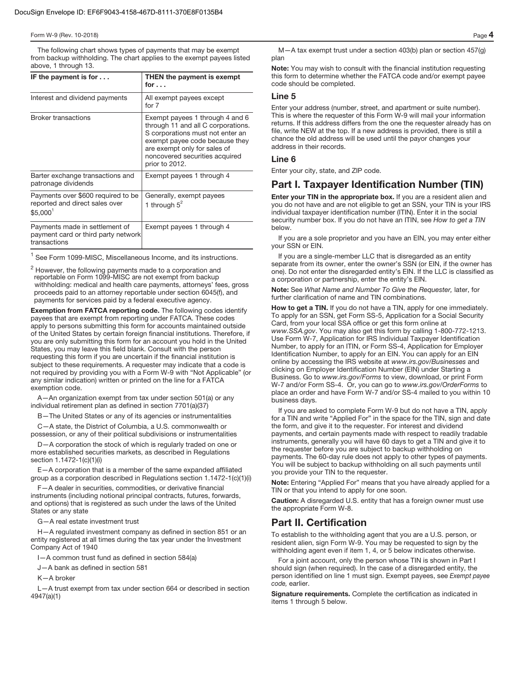The following chart shows types of payments that may be exempt from backup withholding. The chart applies to the exempt payees listed above, 1 through 13.

| IF the payment is for $\dots$                                                                | THEN the payment is exempt                                                                                                                                                                                                      |
|----------------------------------------------------------------------------------------------|---------------------------------------------------------------------------------------------------------------------------------------------------------------------------------------------------------------------------------|
|                                                                                              | for $\ldots$                                                                                                                                                                                                                    |
| Interest and dividend payments                                                               | All exempt payees except<br>for 7                                                                                                                                                                                               |
| <b>Broker transactions</b>                                                                   | Exempt payees 1 through 4 and 6<br>through 11 and all C corporations.<br>S corporations must not enter an<br>exempt payee code because they<br>are exempt only for sales of<br>noncovered securities acquired<br>prior to 2012. |
| Barter exchange transactions and<br>patronage dividends                                      | Exempt payees 1 through 4                                                                                                                                                                                                       |
| Payments over \$600 required to be<br>reported and direct sales over<br>\$5.000 <sup>1</sup> | Generally, exempt payees<br>1 through $5^2$                                                                                                                                                                                     |
| Payments made in settlement of<br>payment card or third party network<br>transactions        | Exempt payees 1 through 4                                                                                                                                                                                                       |

 $<sup>1</sup>$  See Form 1099-MISC, Miscellaneous Income, and its instructions.</sup>

 $^2$  However, the following payments made to a corporation and reportable on Form 1099-MISC are not exempt from backup withholding: medical and health care payments, attorneys' fees, gross proceeds paid to an attorney reportable under section 6045(f), and payments for services paid by a federal executive agency.

**Exemption from FATCA reporting code.** The following codes identify payees that are exempt from reporting under FATCA. These codes apply to persons submitting this form for accounts maintained outside of the United States by certain foreign financial institutions. Therefore, if you are only submitting this form for an account you hold in the United States, you may leave this field blank. Consult with the person requesting this form if you are uncertain if the financial institution is subject to these requirements. A requester may indicate that a code is not required by providing you with a Form W-9 with "Not Applicable" (or any similar indication) written or printed on the line for a FATCA exemption code.

A—An organization exempt from tax under section 501(a) or any individual retirement plan as defined in section 7701(a)(37)

- The United States or any of its agencies or instrumentalities

C—A state, the District of Columbia, a U.S. commonwealth or possession, or any of their political subdivisions or instrumentalities

D—A corporation the stock of which is regularly traded on one or more established securities markets, as described in Regulations section 1.1472-1(c)(1)(i)

E—A corporation that is a member of the same expanded affiliated group as a corporation described in Regulations section 1.1472-1(c)(1)(i)

F—A dealer in securities, commodities, or derivative financial instruments (including notional principal contracts, futures, forwards, and options) that is registered as such under the laws of the United States or any state

G—A real estate investment trust

H—A regulated investment company as defined in section 851 or an entity registered at all times during the tax year under the Investment Company Act of 1940

I—A common trust fund as defined in section 584(a)

J—A bank as defined in section 581

K—A broker

L—A trust exempt from tax under section 664 or described in section 4947(a)(1)

M—A tax exempt trust under a section 403(b) plan or section 457(g) plan

**Note:** You may wish to consult with the financial institution requesting this form to determine whether the FATCA code and/or exempt payee code should be completed.

#### **Line 5**

Enter your address (number, street, and apartment or suite number). This is where the requester of this Form W-9 will mail your information returns. If this address differs from the one the requester already has on file, write NEW at the top. If a new address is provided, there is still a chance the old address will be used until the payor changes your address in their records.

#### **Line 6**

Enter your city, state, and ZIP code.

### **Part I. Taxpayer Identification Number (TIN)**

**Enter your TIN in the appropriate box.** If you are a resident alien and you do not have and are not eligible to get an SSN, your TIN is your IRS individual taxpayer identification number (ITIN). Enter it in the social security number box. If you do not have an ITIN, see How to get a TIN below.

If you are a sole proprietor and you have an EIN, you may enter either your SSN or EIN.

If you are a single-member LLC that is disregarded as an entity separate from its owner, enter the owner's SSN (or EIN, if the owner has one). Do not enter the disregarded entity's EIN. If the LLC is classified as a corporation or partnership, enter the entity's EIN.

**Note:** See What Name and Number To Give the Requester, later, for further clarification of name and TIN combinations.

**How to get a TIN.** If you do not have a TIN, apply for one immediately. To apply for an SSN, get Form SS-5, Application for a Social Security Card, from your local SSA office or get this form online at www.SSA.gov. You may also get this form by calling 1-800-772-1213. Use Form W-7, Application for IRS Individual Taxpayer Identification Number, to apply for an ITIN, or Form SS-4, Application for Employer Identification Number, to apply for an EIN. You can apply for an EIN online by accessing the IRS website at www.irs.gov/Businesses and clicking on Employer Identification Number (EIN) under Starting a Business. Go to www.irs.gov/Forms to view, download, or print Form W-7 and/or Form SS-4. Or, you can go to www.irs.gov/OrderForms to place an order and have Form W-7 and/or SS-4 mailed to you within 10 business days.

If you are asked to complete Form W-9 but do not have a TIN, apply for a TIN and write "Applied For" in the space for the TIN, sign and date the form, and give it to the requester. For interest and dividend payments, and certain payments made with respect to readily tradable instruments, generally you will have 60 days to get a TIN and give it to the requester before you are subject to backup withholding on payments. The 60-day rule does not apply to other types of payments. You will be subject to backup withholding on all such payments until you provide your TIN to the requester.

**Note:** Entering "Applied For" means that you have already applied for a TIN or that you intend to apply for one soon.

**Caution:** A disregarded U.S. entity that has a foreign owner must use the appropriate Form W-8.

# **Part II. Certification**

To establish to the withholding agent that you are a U.S. person, or resident alien, sign Form W-9. You may be requested to sign by the withholding agent even if item 1, 4, or 5 below indicates otherwise.

For a joint account, only the person whose TIN is shown in Part I should sign (when required). In the case of a disregarded entity, the person identified on line 1 must sign. Exempt payees, see Exempt payee code, earlier.

**Signature requirements.** Complete the certification as indicated in items 1 through 5 below.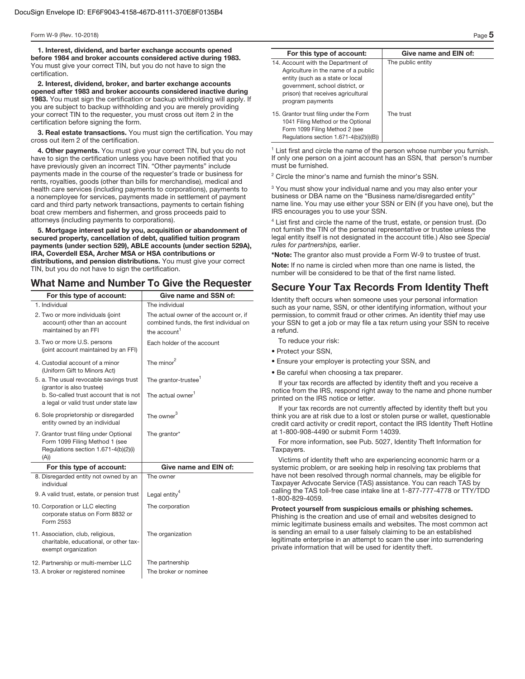**1. Interest, dividend, and barter exchange accounts opened before 1984 and broker accounts considered active during 1983.**  You must give your correct TIN, but you do not have to sign the certification.

**2. Interest, dividend, broker, and barter exchange accounts opened after 1983 and broker accounts considered inactive during 1983.** You must sign the certification or backup withholding will apply. If you are subject to backup withholding and you are merely providing your correct TIN to the requester, you must cross out item 2 in the certification before signing the form.

**3. Real estate transactions.** You must sign the certification. You may cross out item 2 of the certification.

**4. Other payments.** You must give your correct TIN, but you do not have to sign the certification unless you have been notified that you have previously given an incorrect TIN. "Other payments" include payments made in the course of the requester's trade or business for rents, royalties, goods (other than bills for merchandise), medical and health care services (including payments to corporations), payments to a nonemployee for services, payments made in settlement of payment card and third party network transactions, payments to certain fishing boat crew members and fishermen, and gross proceeds paid to attorneys (including payments to corporations).

**5. Mortgage interest paid by you, acquisition or abandonment of secured property, cancellation of debt, qualified tuition program payments (under section 529), ABLE accounts (under section 529A), IRA, Coverdell ESA, Archer MSA or HSA contributions or distributions, and pension distributions.** You must give your correct TIN, but you do not have to sign the certification.

# **What Name and Number To Give the Requester**

| For this type of account:                                                                                                | Give name and SSN of:                                                                                         |
|--------------------------------------------------------------------------------------------------------------------------|---------------------------------------------------------------------------------------------------------------|
| 1. Individual                                                                                                            | The individual                                                                                                |
| 2. Two or more individuals (joint<br>account) other than an account<br>maintained by an FFI                              | The actual owner of the account or, if<br>combined funds, the first individual on<br>the account <sup>1</sup> |
| 3. Two or more U.S. persons<br>(joint account maintained by an FFI)                                                      | Each holder of the account                                                                                    |
| 4. Custodial account of a minor<br>(Uniform Gift to Minors Act)                                                          | The minor <sup>2</sup>                                                                                        |
| 5. a. The usual revocable savings trust<br>(grantor is also trustee)                                                     | The grantor-trustee <sup>1</sup>                                                                              |
| b. So-called trust account that is not<br>a legal or valid trust under state law                                         | The actual owner <sup>1</sup>                                                                                 |
| 6. Sole proprietorship or disregarded<br>entity owned by an individual                                                   | The owner $^3$                                                                                                |
| 7. Grantor trust filing under Optional<br>Form 1099 Filing Method 1 (see<br>Regulations section 1.671-4(b)(2)(i)<br>(A)) | The grantor*                                                                                                  |
| For this type of account:                                                                                                | Give name and EIN of:                                                                                         |
| 8. Disregarded entity not owned by an<br>individual                                                                      | The owner                                                                                                     |
| 9. A valid trust, estate, or pension trust                                                                               | Legal entity <sup>4</sup>                                                                                     |
| 10. Corporation or LLC electing<br>corporate status on Form 8832 or<br>Form 2553                                         | The corporation                                                                                               |
| 11. Association, club, religious,<br>charitable, educational, or other tax-<br>exempt organization                       | The organization                                                                                              |
| 12. Partnership or multi-member LLC<br>13. A broker or registered nominee                                                | The partnership<br>The broker or nominee                                                                      |

| For this type of account:                                                                                                                                                                                  | Give name and EIN of: |
|------------------------------------------------------------------------------------------------------------------------------------------------------------------------------------------------------------|-----------------------|
| 14. Account with the Department of<br>Agriculture in the name of a public<br>entity (such as a state or local<br>government, school district, or<br>prison) that receives agricultural<br>program payments | The public entity     |
| 15. Grantor trust filing under the Form<br>1041 Filing Method or the Optional<br>Form 1099 Filing Method 2 (see<br>Regulations section 1.671-4(b)(2)(i)(B))                                                | The trust             |

<sup>1</sup> List first and circle the name of the person whose number you furnish. If only one person on a joint account has an SSN, that person's number must be furnished.

<sup>2</sup> Circle the minor's name and furnish the minor's SSN.

<sup>3</sup> You must show your individual name and you may also enter your business or DBA name on the "Business name/disregarded entity" name line. You may use either your SSN or EIN (if you have one), but the IRS encourages you to use your SSN.

<sup>4</sup> List first and circle the name of the trust, estate, or pension trust. (Do not furnish the TIN of the personal representative or trustee unless the legal entity itself is not designated in the account title.) Also see Special rules for partnerships, earlier.

**\*Note:** The grantor also must provide a Form W-9 to trustee of trust.

**Note:** If no name is circled when more than one name is listed, the number will be considered to be that of the first name listed.

# **Secure Your Tax Records From Identity Theft**

Identity theft occurs when someone uses your personal information such as your name, SSN, or other identifying information, without your permission, to commit fraud or other crimes. An identity thief may use your SSN to get a job or may file a tax return using your SSN to receive a refund.

To reduce your risk:

- Protect your SSN,
- Ensure your employer is protecting your SSN, and
- Be careful when choosing a tax preparer.

If your tax records are affected by identity theft and you receive a notice from the IRS, respond right away to the name and phone number printed on the IRS notice or letter.

If your tax records are not currently affected by identity theft but you think you are at risk due to a lost or stolen purse or wallet, questionable credit card activity or credit report, contact the IRS Identity Theft Hotline at 1-800-908-4490 or submit Form 14039.

For more information, see Pub. 5027, Identity Theft Information for Taxpayers.

Victims of identity theft who are experiencing economic harm or a systemic problem, or are seeking help in resolving tax problems that have not been resolved through normal channels, may be eligible for Taxpayer Advocate Service (TAS) assistance. You can reach TAS by calling the TAS toll-free case intake line at 1-877-777-4778 or TTY/TDD 1-800-829-4059.

**Protect yourself from suspicious emails or phishing schemes.**  Phishing is the creation and use of email and websites designed to mimic legitimate business emails and websites. The most common act is sending an email to a user falsely claiming to be an established legitimate enterprise in an attempt to scam the user into surrendering private information that will be used for identity theft.